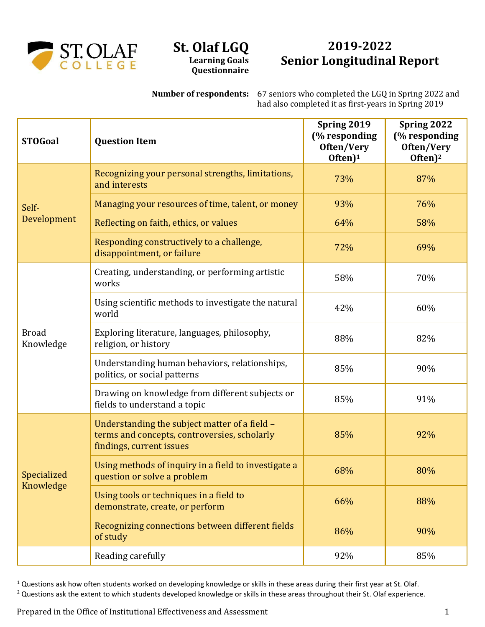

## **St. Olaf LGQ Learning Goals Questionnaire**

## **2019-2022 Senior Longitudinal Report**

**Number of respondents:** 67 seniors who completed the LGQ in Spring 2022 and had also completed it as first-years in Spring 2019

| <b>STOGoal</b>            | <b>Question Item</b>                                                                                                      | Spring 2019<br>(% responding<br>Often/Very<br>Often) <sup>1</sup> | Spring 2022<br>(% responding<br>Often/Very<br>Often $)^2$ |
|---------------------------|---------------------------------------------------------------------------------------------------------------------------|-------------------------------------------------------------------|-----------------------------------------------------------|
| Self-<br>Development      | Recognizing your personal strengths, limitations,<br>and interests                                                        | 73%                                                               | 87%                                                       |
|                           | Managing your resources of time, talent, or money                                                                         | 93%                                                               | 76%                                                       |
|                           | Reflecting on faith, ethics, or values                                                                                    | 64%                                                               | 58%                                                       |
|                           | Responding constructively to a challenge,<br>disappointment, or failure                                                   | 72%                                                               | 69%                                                       |
| <b>Broad</b><br>Knowledge | Creating, understanding, or performing artistic<br>works                                                                  | 58%                                                               | 70%                                                       |
|                           | Using scientific methods to investigate the natural<br>world                                                              | 42%                                                               | 60%                                                       |
|                           | Exploring literature, languages, philosophy,<br>religion, or history                                                      | 88%                                                               | 82%                                                       |
|                           | Understanding human behaviors, relationships,<br>politics, or social patterns                                             | 85%                                                               | 90%                                                       |
|                           | Drawing on knowledge from different subjects or<br>fields to understand a topic                                           | 85%                                                               | 91%                                                       |
| Specialized<br>Knowledge  | Understanding the subject matter of a field -<br>terms and concepts, controversies, scholarly<br>findings, current issues | 85%                                                               | 92%                                                       |
|                           | Using methods of inquiry in a field to investigate a<br>question or solve a problem                                       | 68%                                                               | 80%                                                       |
|                           | Using tools or techniques in a field to<br>demonstrate, create, or perform                                                | 66%                                                               | 88%                                                       |
|                           | Recognizing connections between different fields<br>of study                                                              | 86%                                                               | 90%                                                       |
|                           | Reading carefully                                                                                                         | 92%                                                               | 85%                                                       |

<sup>&</sup>lt;sup>1</sup> Questions ask how often students worked on developing knowledge or skills in these areas during their first year at St. Olaf.

<sup>&</sup>lt;sup>2</sup> Questions ask the extent to which students developed knowledge or skills in these areas throughout their St. Olaf experience.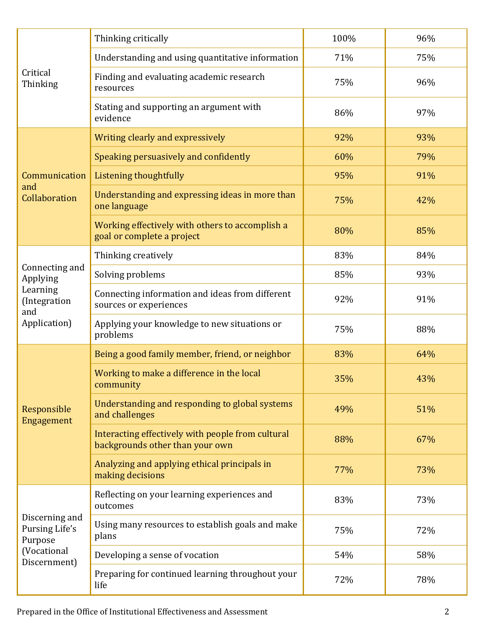| Critical<br>Thinking                                                          | Thinking critically                                                                  | 100% | 96% |
|-------------------------------------------------------------------------------|--------------------------------------------------------------------------------------|------|-----|
|                                                                               | Understanding and using quantitative information                                     | 71%  | 75% |
|                                                                               | Finding and evaluating academic research<br>resources                                | 75%  | 96% |
|                                                                               | Stating and supporting an argument with<br>evidence                                  | 86%  | 97% |
| Communication<br>and<br>Collaboration                                         | Writing clearly and expressively                                                     | 92%  | 93% |
|                                                                               | Speaking persuasively and confidently                                                | 60%  | 79% |
|                                                                               | Listening thoughtfully                                                               | 95%  | 91% |
|                                                                               | Understanding and expressing ideas in more than<br>one language                      | 75%  | 42% |
|                                                                               | Working effectively with others to accomplish a<br>goal or complete a project        | 80%  | 85% |
| Connecting and<br>Applying<br>Learning<br>(Integration<br>and<br>Application) | Thinking creatively                                                                  | 83%  | 84% |
|                                                                               | Solving problems                                                                     | 85%  | 93% |
|                                                                               | Connecting information and ideas from different<br>sources or experiences            | 92%  | 91% |
|                                                                               | Applying your knowledge to new situations or<br>problems                             | 75%  | 88% |
| Responsible<br>Engagement                                                     | Being a good family member, friend, or neighbor                                      | 83%  | 64% |
|                                                                               | Working to make a difference in the local<br>community                               | 35%  | 43% |
|                                                                               | Understanding and responding to global systems<br>and challenges                     | 49%  | 51% |
|                                                                               | Interacting effectively with people from cultural<br>backgrounds other than your own | 88%  | 67% |
|                                                                               | Analyzing and applying ethical principals in<br>making decisions                     | 77%  | 73% |
| Discerning and<br>Pursing Life's<br>Purpose<br>(Vocational<br>Discernment)    | Reflecting on your learning experiences and<br>outcomes                              | 83%  | 73% |
|                                                                               | Using many resources to establish goals and make<br>plans                            | 75%  | 72% |
|                                                                               | Developing a sense of vocation                                                       | 54%  | 58% |
|                                                                               | Preparing for continued learning throughout your<br>life                             | 72%  | 78% |